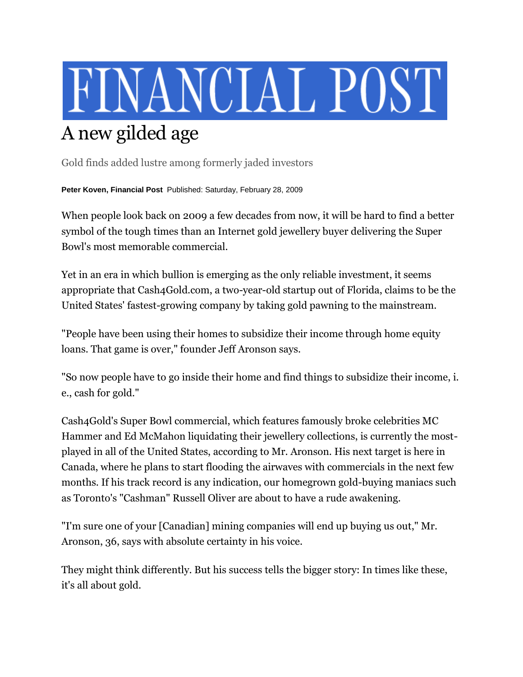## FINANCIAL POST A new gilded age

Gold finds added lustre among formerly jaded investors

**Peter Koven, Financial Post** Published: Saturday, February 28, 2009

When people look back on 2009 a few decades from now, it will be hard to find a better symbol of the tough times than an Internet gold jewellery buyer delivering the Super Bowl's most memorable commercial.

Yet in an era in which bullion is emerging as the only reliable investment, it seems appropriate that Cash4Gold.com, a two-year-old startup out of Florida, claims to be the United States' fastest-growing company by taking gold pawning to the mainstream.

"People have been using their homes to subsidize their income through home equity loans. That game is over," founder Jeff Aronson says.

"So now people have to go inside their home and find things to subsidize their income, i. e., cash for gold."

Cash4Gold's Super Bowl commercial, which features famously broke celebrities MC Hammer and Ed McMahon liquidating their jewellery collections, is currently the mostplayed in all of the United States, according to Mr. Aronson. His next target is here in Canada, where he plans to start flooding the airwaves with commercials in the next few months. If his track record is any indication, our homegrown gold-buying maniacs such as Toronto's "Cashman" Russell Oliver are about to have a rude awakening.

"I'm sure one of your [Canadian] mining companies will end up buying us out," Mr. Aronson, 36, says with absolute certainty in his voice.

They might think differently. But his success tells the bigger story: In times like these, it's all about gold.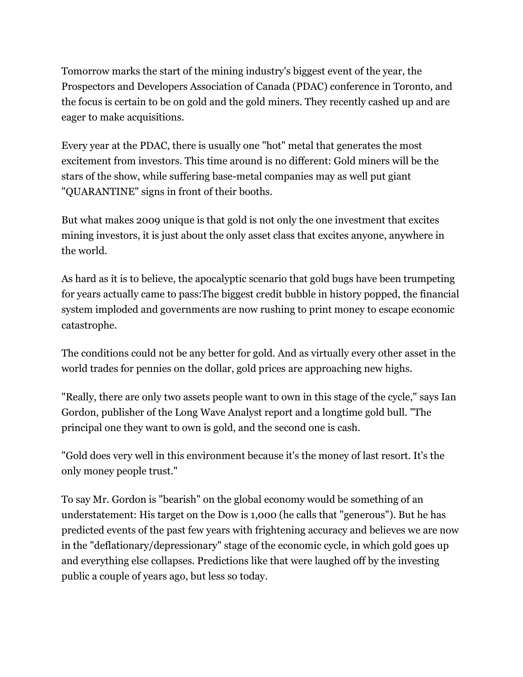Tomorrow marks the start of the mining industry's biggest event of the year, the Prospectors and Developers Association of Canada (PDAC) conference in Toronto, and the focus is certain to be on gold and the gold miners. They recently cashed up and are eager to make acquisitions.

Every year at the PDAC, there is usually one "hot" metal that generates the most excitement from investors. This time around is no different: Gold miners will be the stars of the show, while suffering base-metal companies may as well put giant "QUARANTINE" signs in front of their booths.

But what makes 2009 unique is that gold is not only the one investment that excites mining investors, it is just about the only asset class that excites anyone, anywhere in the world.

As hard as it is to believe, the apocalyptic scenario that gold bugs have been trumpeting for years actually came to pass:The biggest credit bubble in history popped, the financial system imploded and governments are now rushing to print money to escape economic catastrophe.

The conditions could not be any better for gold. And as virtually every other asset in the world trades for pennies on the dollar, gold prices are approaching new highs.

"Really, there are only two assets people want to own in this stage of the cycle," says Ian Gordon, publisher of the Long Wave Analyst report and a longtime gold bull. "The principal one they want to own is gold, and the second one is cash.

"Gold does very well in this environment because it's the money of last resort. It's the only money people trust."

To say Mr. Gordon is "bearish" on the global economy would be something of an understatement: His target on the Dow is 1,000 (he calls that "generous"). But he has predicted events of the past few years with frightening accuracy and believes we are now in the "deflationary/depressionary" stage of the economic cycle, in which gold goes up and everything else collapses. Predictions like that were laughed off by the investing public a couple of years ago, but less so today.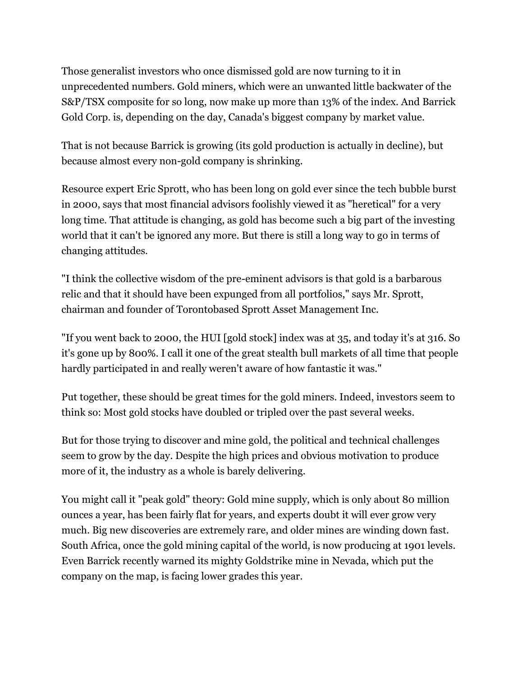Those generalist investors who once dismissed gold are now turning to it in unprecedented numbers. Gold miners, which were an unwanted little backwater of the S&P/TSX composite for so long, now make up more than 13% of the index. And Barrick Gold Corp. is, depending on the day, Canada's biggest company by market value.

That is not because Barrick is growing (its gold production is actually in decline), but because almost every non-gold company is shrinking.

Resource expert Eric Sprott, who has been long on gold ever since the tech bubble burst in 2000, says that most financial advisors foolishly viewed it as "heretical" for a very long time. That attitude is changing, as gold has become such a big part of the investing world that it can't be ignored any more. But there is still a long way to go in terms of changing attitudes.

"I think the collective wisdom of the pre-eminent advisors is that gold is a barbarous relic and that it should have been expunged from all portfolios," says Mr. Sprott, chairman and founder of Torontobased Sprott Asset Management Inc.

"If you went back to 2000, the HUI [gold stock] index was at 35, and today it's at 316. So it's gone up by 800%. I call it one of the great stealth bull markets of all time that people hardly participated in and really weren't aware of how fantastic it was."

Put together, these should be great times for the gold miners. Indeed, investors seem to think so: Most gold stocks have doubled or tripled over the past several weeks.

But for those trying to discover and mine gold, the political and technical challenges seem to grow by the day. Despite the high prices and obvious motivation to produce more of it, the industry as a whole is barely delivering.

You might call it "peak gold" theory: Gold mine supply, which is only about 80 million ounces a year, has been fairly flat for years, and experts doubt it will ever grow very much. Big new discoveries are extremely rare, and older mines are winding down fast. South Africa, once the gold mining capital of the world, is now producing at 1901 levels. Even Barrick recently warned its mighty Goldstrike mine in Nevada, which put the company on the map, is facing lower grades this year.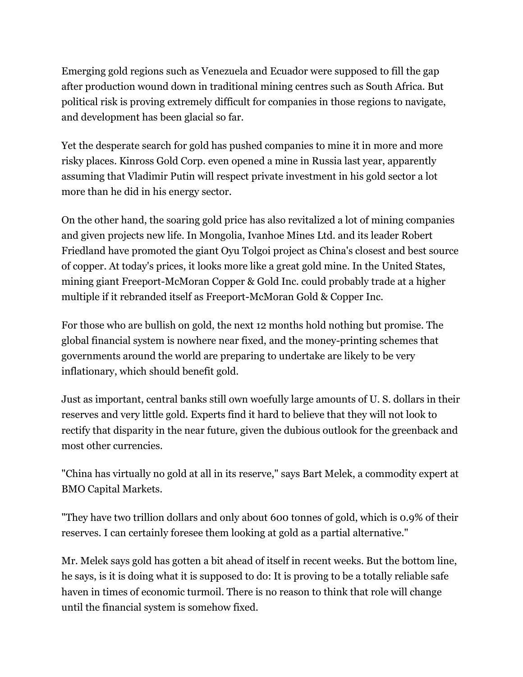Emerging gold regions such as Venezuela and Ecuador were supposed to fill the gap after production wound down in traditional mining centres such as South Africa. But political risk is proving extremely difficult for companies in those regions to navigate, and development has been glacial so far.

Yet the desperate search for gold has pushed companies to mine it in more and more risky places. Kinross Gold Corp. even opened a mine in Russia last year, apparently assuming that Vladimir Putin will respect private investment in his gold sector a lot more than he did in his energy sector.

On the other hand, the soaring gold price has also revitalized a lot of mining companies and given projects new life. In Mongolia, Ivanhoe Mines Ltd. and its leader Robert Friedland have promoted the giant Oyu Tolgoi project as China's closest and best source of copper. At today's prices, it looks more like a great gold mine. In the United States, mining giant Freeport-McMoran Copper & Gold Inc. could probably trade at a higher multiple if it rebranded itself as Freeport-McMoran Gold & Copper Inc.

For those who are bullish on gold, the next 12 months hold nothing but promise. The global financial system is nowhere near fixed, and the money-printing schemes that governments around the world are preparing to undertake are likely to be very inflationary, which should benefit gold.

Just as important, central banks still own woefully large amounts of U. S. dollars in their reserves and very little gold. Experts find it hard to believe that they will not look to rectify that disparity in the near future, given the dubious outlook for the greenback and most other currencies.

"China has virtually no gold at all in its reserve," says Bart Melek, a commodity expert at BMO Capital Markets.

"They have two trillion dollars and only about 600 tonnes of gold, which is 0.9% of their reserves. I can certainly foresee them looking at gold as a partial alternative."

Mr. Melek says gold has gotten a bit ahead of itself in recent weeks. But the bottom line, he says, is it is doing what it is supposed to do: It is proving to be a totally reliable safe haven in times of economic turmoil. There is no reason to think that role will change until the financial system is somehow fixed.